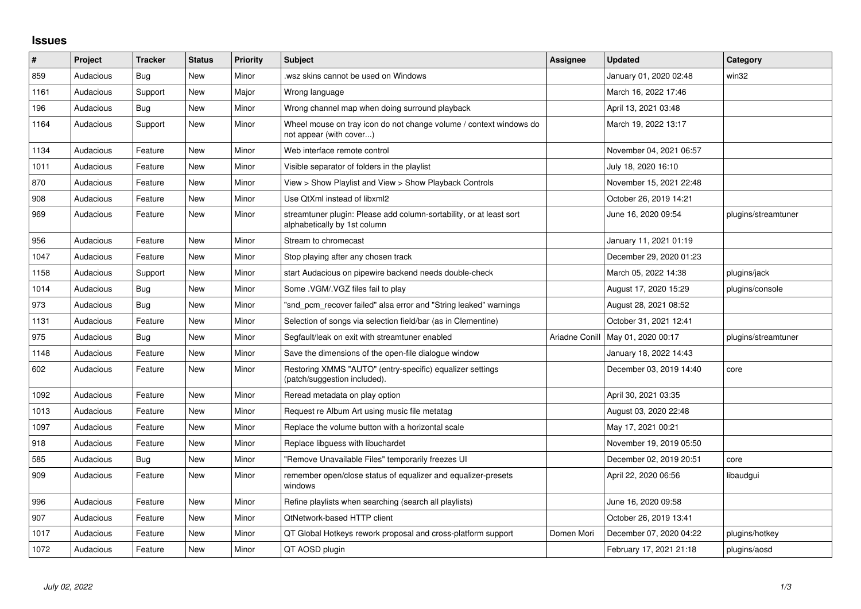## **Issues**

| #    | <b>Project</b> | <b>Tracker</b> | <b>Status</b> | Priority | <b>Subject</b>                                                                                      | Assignee       | <b>Updated</b>          | Category            |
|------|----------------|----------------|---------------|----------|-----------------------------------------------------------------------------------------------------|----------------|-------------------------|---------------------|
| 859  | Audacious      | Bug            | <b>New</b>    | Minor    | wsz skins cannot be used on Windows.                                                                |                | January 01, 2020 02:48  | win32               |
| 1161 | Audacious      | Support        | New           | Major    | Wrong language                                                                                      |                | March 16, 2022 17:46    |                     |
| 196  | Audacious      | Bug            | New           | Minor    | Wrong channel map when doing surround playback                                                      |                | April 13, 2021 03:48    |                     |
| 1164 | Audacious      | Support        | New           | Minor    | Wheel mouse on tray icon do not change volume / context windows do<br>not appear (with cover)       |                | March 19, 2022 13:17    |                     |
| 1134 | Audacious      | Feature        | <b>New</b>    | Minor    | Web interface remote control                                                                        |                | November 04, 2021 06:57 |                     |
| 1011 | Audacious      | Feature        | New           | Minor    | Visible separator of folders in the playlist                                                        |                | July 18, 2020 16:10     |                     |
| 870  | Audacious      | Feature        | New           | Minor    | View > Show Playlist and View > Show Playback Controls                                              |                | November 15, 2021 22:48 |                     |
| 908  | Audacious      | Feature        | New           | Minor    | Use QtXml instead of libxml2                                                                        |                | October 26, 2019 14:21  |                     |
| 969  | Audacious      | Feature        | New           | Minor    | streamtuner plugin: Please add column-sortability, or at least sort<br>alphabetically by 1st column |                | June 16, 2020 09:54     | plugins/streamtuner |
| 956  | Audacious      | Feature        | New           | Minor    | Stream to chromecast                                                                                |                | January 11, 2021 01:19  |                     |
| 1047 | Audacious      | Feature        | New           | Minor    | Stop playing after any chosen track                                                                 |                | December 29, 2020 01:23 |                     |
| 1158 | Audacious      | Support        | New           | Minor    | start Audacious on pipewire backend needs double-check                                              |                | March 05, 2022 14:38    | plugins/jack        |
| 1014 | Audacious      | Bug            | New           | Minor    | Some . VGM/. VGZ files fail to play                                                                 |                | August 17, 2020 15:29   | plugins/console     |
| 973  | Audacious      | Bug            | <b>New</b>    | Minor    | "snd pcm recover failed" alsa error and "String leaked" warnings                                    |                | August 28, 2021 08:52   |                     |
| 1131 | Audacious      | Feature        | New           | Minor    | Selection of songs via selection field/bar (as in Clementine)                                       |                | October 31, 2021 12:41  |                     |
| 975  | Audacious      | Bug            | New           | Minor    | Segfault/leak on exit with streamtuner enabled                                                      | Ariadne Conill | May 01, 2020 00:17      | plugins/streamtuner |
| 1148 | Audacious      | Feature        | New           | Minor    | Save the dimensions of the open-file dialogue window                                                |                | January 18, 2022 14:43  |                     |
| 602  | Audacious      | Feature        | New           | Minor    | Restoring XMMS "AUTO" (entry-specific) equalizer settings<br>(patch/suggestion included).           |                | December 03, 2019 14:40 | core                |
| 1092 | Audacious      | Feature        | New           | Minor    | Reread metadata on play option                                                                      |                | April 30, 2021 03:35    |                     |
| 1013 | Audacious      | Feature        | <b>New</b>    | Minor    | Request re Album Art using music file metatag                                                       |                | August 03, 2020 22:48   |                     |
| 1097 | Audacious      | Feature        | New           | Minor    | Replace the volume button with a horizontal scale                                                   |                | May 17, 2021 00:21      |                     |
| 918  | Audacious      | Feature        | New           | Minor    | Replace libguess with libuchardet                                                                   |                | November 19, 2019 05:50 |                     |
| 585  | Audacious      | Bug            | New           | Minor    | "Remove Unavailable Files" temporarily freezes UI                                                   |                | December 02, 2019 20:51 | core                |
| 909  | Audacious      | Feature        | <b>New</b>    | Minor    | remember open/close status of equalizer and equalizer-presets<br>windows                            |                | April 22, 2020 06:56    | libaudgui           |
| 996  | Audacious      | Feature        | New           | Minor    | Refine playlists when searching (search all playlists)                                              |                | June 16, 2020 09:58     |                     |
| 907  | Audacious      | Feature        | New           | Minor    | <b>QtNetwork-based HTTP client</b>                                                                  |                | October 26, 2019 13:41  |                     |
| 1017 | Audacious      | Feature        | New           | Minor    | QT Global Hotkeys rework proposal and cross-platform support                                        | Domen Mori     | December 07, 2020 04:22 | plugins/hotkey      |
| 1072 | Audacious      | Feature        | New           | Minor    | QT AOSD plugin                                                                                      |                | February 17, 2021 21:18 | plugins/aosd        |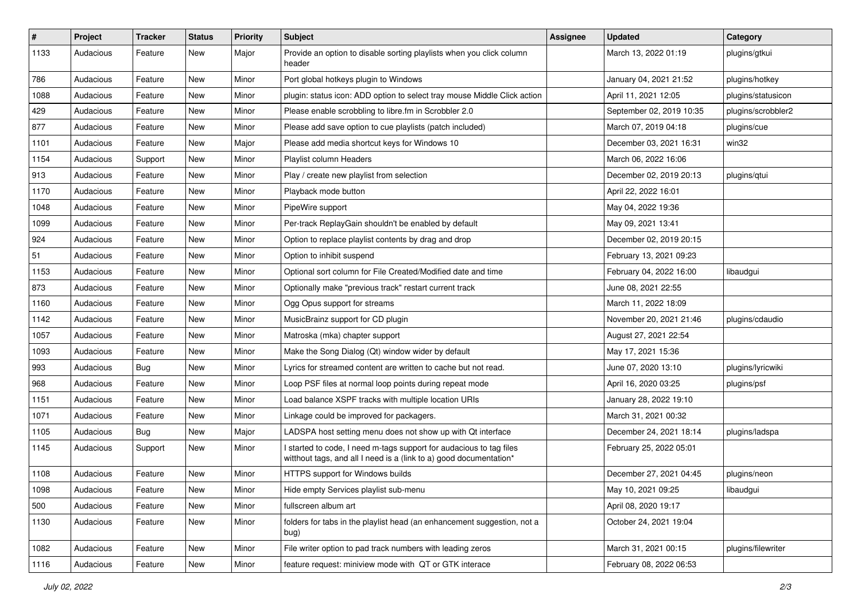| $\#$ | Project   | <b>Tracker</b> | <b>Status</b> | <b>Priority</b> | <b>Subject</b>                                                                                                                            | <b>Assignee</b> | <b>Updated</b>           | Category           |
|------|-----------|----------------|---------------|-----------------|-------------------------------------------------------------------------------------------------------------------------------------------|-----------------|--------------------------|--------------------|
| 1133 | Audacious | Feature        | New           | Major           | Provide an option to disable sorting playlists when you click column<br>header                                                            |                 | March 13, 2022 01:19     | plugins/gtkui      |
| 786  | Audacious | Feature        | New           | Minor           | Port global hotkeys plugin to Windows                                                                                                     |                 | January 04, 2021 21:52   | plugins/hotkey     |
| 1088 | Audacious | Feature        | <b>New</b>    | Minor           | plugin: status icon: ADD option to select tray mouse Middle Click action                                                                  |                 | April 11, 2021 12:05     | plugins/statusicon |
| 429  | Audacious | Feature        | New           | Minor           | Please enable scrobbling to libre.fm in Scrobbler 2.0                                                                                     |                 | September 02, 2019 10:35 | plugins/scrobbler2 |
| 877  | Audacious | Feature        | New           | Minor           | Please add save option to cue playlists (patch included)                                                                                  |                 | March 07, 2019 04:18     | plugins/cue        |
| 1101 | Audacious | Feature        | <b>New</b>    | Major           | Please add media shortcut keys for Windows 10                                                                                             |                 | December 03, 2021 16:31  | win32              |
| 1154 | Audacious | Support        | New           | Minor           | Playlist column Headers                                                                                                                   |                 | March 06, 2022 16:06     |                    |
| 913  | Audacious | Feature        | New           | Minor           | Play / create new playlist from selection                                                                                                 |                 | December 02, 2019 20:13  | plugins/qtui       |
| 1170 | Audacious | Feature        | New           | Minor           | Playback mode button                                                                                                                      |                 | April 22, 2022 16:01     |                    |
| 1048 | Audacious | Feature        | New           | Minor           | PipeWire support                                                                                                                          |                 | May 04, 2022 19:36       |                    |
| 1099 | Audacious | Feature        | New           | Minor           | Per-track ReplayGain shouldn't be enabled by default                                                                                      |                 | May 09, 2021 13:41       |                    |
| 924  | Audacious | Feature        | New           | Minor           | Option to replace playlist contents by drag and drop                                                                                      |                 | December 02, 2019 20:15  |                    |
| 51   | Audacious | Feature        | New           | Minor           | Option to inhibit suspend                                                                                                                 |                 | February 13, 2021 09:23  |                    |
| 1153 | Audacious | Feature        | <b>New</b>    | Minor           | Optional sort column for File Created/Modified date and time                                                                              |                 | February 04, 2022 16:00  | libaudgui          |
| 873  | Audacious | Feature        | New           | Minor           | Optionally make "previous track" restart current track                                                                                    |                 | June 08, 2021 22:55      |                    |
| 1160 | Audacious | Feature        | New           | Minor           | Ogg Opus support for streams                                                                                                              |                 | March 11, 2022 18:09     |                    |
| 1142 | Audacious | Feature        | New           | Minor           | MusicBrainz support for CD plugin                                                                                                         |                 | November 20, 2021 21:46  | plugins/cdaudio    |
| 1057 | Audacious | Feature        | New           | Minor           | Matroska (mka) chapter support                                                                                                            |                 | August 27, 2021 22:54    |                    |
| 1093 | Audacious | Feature        | <b>New</b>    | Minor           | Make the Song Dialog (Qt) window wider by default                                                                                         |                 | May 17, 2021 15:36       |                    |
| 993  | Audacious | Bug            | New           | Minor           | Lyrics for streamed content are written to cache but not read.                                                                            |                 | June 07, 2020 13:10      | plugins/lyricwiki  |
| 968  | Audacious | Feature        | <b>New</b>    | Minor           | Loop PSF files at normal loop points during repeat mode                                                                                   |                 | April 16, 2020 03:25     | plugins/psf        |
| 1151 | Audacious | Feature        | New           | Minor           | Load balance XSPF tracks with multiple location URIs                                                                                      |                 | January 28, 2022 19:10   |                    |
| 1071 | Audacious | Feature        | New           | Minor           | Linkage could be improved for packagers.                                                                                                  |                 | March 31, 2021 00:32     |                    |
| 1105 | Audacious | <b>Bug</b>     | <b>New</b>    | Major           | LADSPA host setting menu does not show up with Qt interface                                                                               |                 | December 24, 2021 18:14  | plugins/ladspa     |
| 1145 | Audacious | Support        | New           | Minor           | I started to code, I need m-tags support for audacious to tag files<br>witthout tags, and all I need is a (link to a) good documentation* |                 | February 25, 2022 05:01  |                    |
| 1108 | Audacious | Feature        | <b>New</b>    | Minor           | HTTPS support for Windows builds                                                                                                          |                 | December 27, 2021 04:45  | plugins/neon       |
| 1098 | Audacious | Feature        | New           | Minor           | Hide empty Services playlist sub-menu                                                                                                     |                 | May 10, 2021 09:25       | libaudgui          |
| 500  | Audacious | Feature        | New           | Minor           | fullscreen album art                                                                                                                      |                 | April 08, 2020 19:17     |                    |
| 1130 | Audacious | Feature        | New           | Minor           | folders for tabs in the playlist head (an enhancement suggestion, not a<br>bug)                                                           |                 | October 24, 2021 19:04   |                    |
| 1082 | Audacious | Feature        | <b>New</b>    | Minor           | File writer option to pad track numbers with leading zeros                                                                                |                 | March 31, 2021 00:15     | plugins/filewriter |
| 1116 | Audacious | Feature        | New           | Minor           | feature request: miniview mode with QT or GTK interace                                                                                    |                 | February 08, 2022 06:53  |                    |